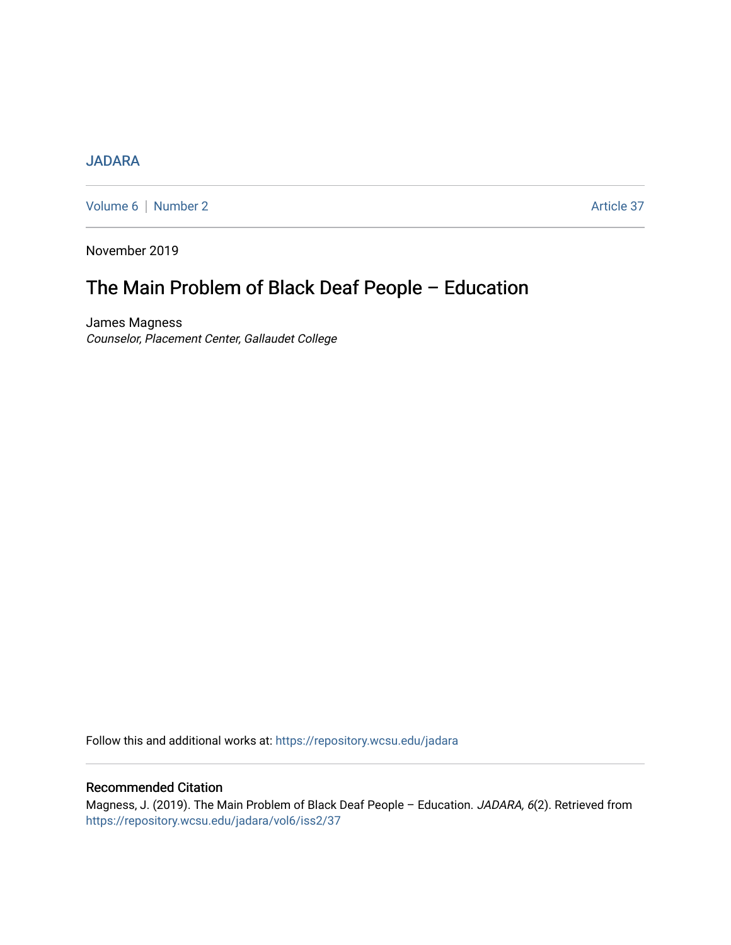## [JADARA](https://repository.wcsu.edu/jadara)

[Volume 6](https://repository.wcsu.edu/jadara/vol6) | [Number 2](https://repository.wcsu.edu/jadara/vol6/iss2) Article 37

November 2019

# The Main Problem of Black Deaf People – Education

James Magness Counselor, Placement Center, Gallaudet College

Follow this and additional works at: [https://repository.wcsu.edu/jadara](https://repository.wcsu.edu/jadara?utm_source=repository.wcsu.edu%2Fjadara%2Fvol6%2Fiss2%2F37&utm_medium=PDF&utm_campaign=PDFCoverPages)

### Recommended Citation

Magness, J. (2019). The Main Problem of Black Deaf People - Education. JADARA, 6(2). Retrieved from [https://repository.wcsu.edu/jadara/vol6/iss2/37](https://repository.wcsu.edu/jadara/vol6/iss2/37?utm_source=repository.wcsu.edu%2Fjadara%2Fvol6%2Fiss2%2F37&utm_medium=PDF&utm_campaign=PDFCoverPages)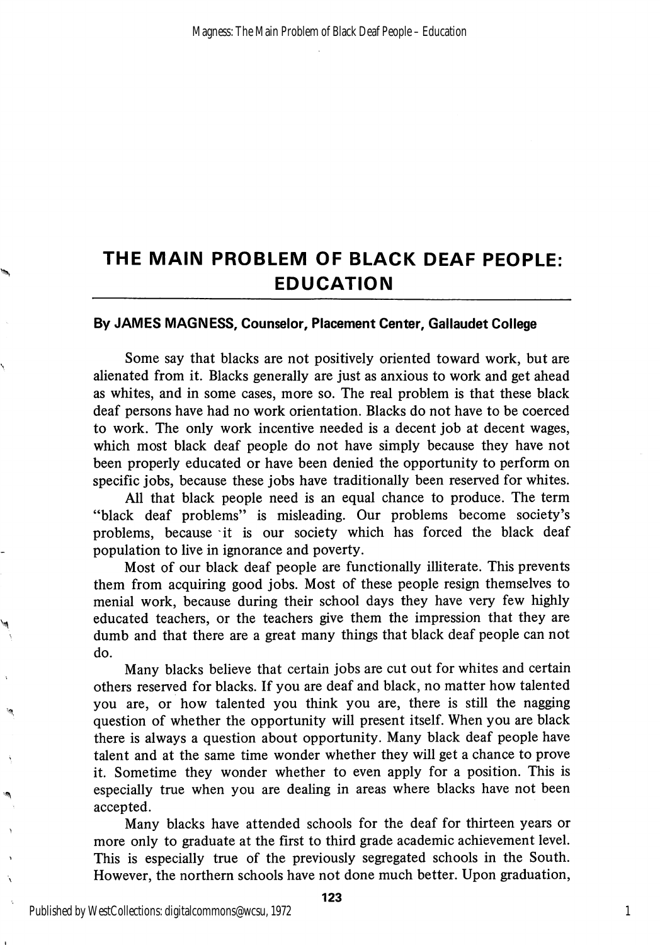# THE MAIN PROBLEM OF BLACK DEAF PEOPLE: EDUCATION

### By JAMES MAGNESS, Counselor, Placement Center, Gallaudet College

Some say that blacks are not positively oriented toward work, but are alienated from it. Blacks generally are just as anxious to work and get ahead as whites, and in some cases, more so. The real problem is that these black deaf persons have had no work orientation. Blacks do not have to be coerced to work. The only work incentive needed is a decent job at decent wages, which most black deaf people do not have simply because they have not been properly educated or have been denied the opportunity to perform on specific jobs, because these jobs have traditionally been reserved for whites.

All that black people need is an equal chance to produce. The term "black deaf problems" is misleading. Our problems become society's problems, because it is our society which has forced the black deaf population to live in ignorance and poverty.

Most of our black deaf people are functionally illiterate. This prevents them from acquiring good jobs. Most of these people resign themselves to menial work, because during their school days they have very few highly educated teachers, or the teachers give them the impression that they are dumb and that there are a great many things that black deaf people can not do.

Many blacks believe that certain jobs are cut out for whites and certain others reserved for blacks. If you are deaf and black, no matter how talented you are, or how talented you think you are, there is still the nagging question of whether the opportunity will present itself. When you are black there is always a question about opportunity. Many black deaf people have talent and at the same time wonder whether they will get a chance to prove it. Sometime they wonder whether to even apply for a position. This is especially true when you are dealing in areas where blacks have not been accepted.

Many blacks have attended schools for the deaf for thirteen years or more only to graduate at the first to third grade academic achievement level. This is especially true of the previously segregated schools in the South. However, the northern schools have not done much better. Upon graduation,

1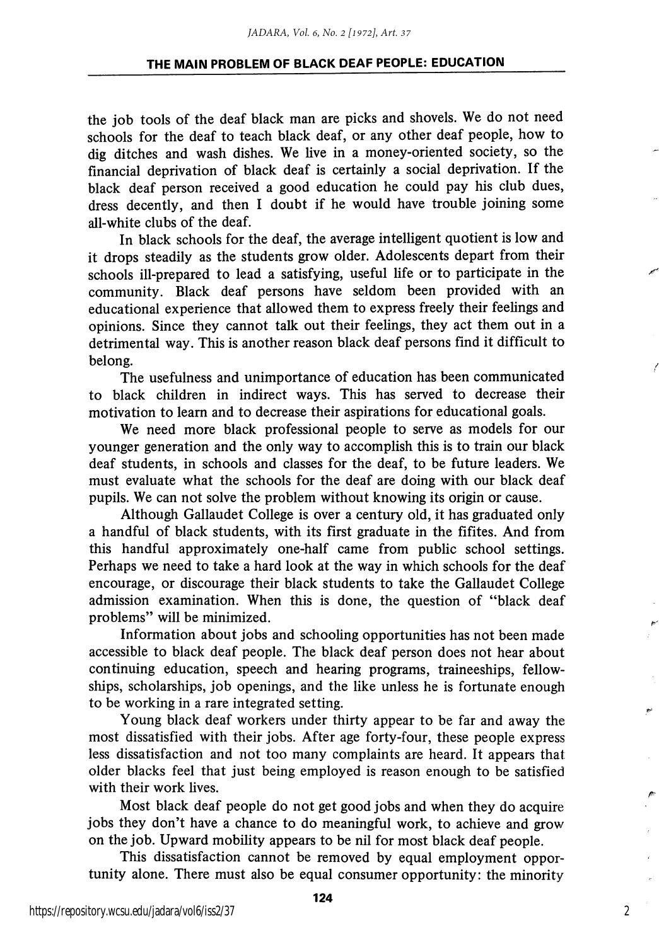### THE MAIN PROBLEM OF BLACK DEAF PEOPLE: EDUCATION

the job tools of the deaf black man are picks and shovels. We do not need schools for the deaf to teach black deaf, or any other deaf people, how to dig ditches and wash dishes. We live in a money-oriented society, so the financial deprivation of black deaf is certainly a social deprivation. If the black deaf person received a good education he could pay his club dues, dress decently, and then I doubt if he would have trouble joining some all-white clubs of the deaf.

In black schools for the deaf, the average intelligent quotient is low and it drops steadily as the students grow older. Adolescents depart from their schools ill-prepared to lead a satisfying, useful life or to participate in the community. Black deaf persons have seldom been provided with an educational experience that allowed them to express freely their feelings and opinions. Since they cannot talk out their feelings, they act them out in a detrimental way. This is another reason black deaf persons find it difficult to belong.

The usefulness and unimportance of education has been communicated to black children in indirect ways. This has served to decrease their motivation to learn and to decrease their aspirations for educational goals.

We need more black professional people to serve as models for our younger generation and the only way to accomplish this is to train our black deaf students, in schools and classes for the deaf, to be future leaders. We must evaluate what the schools for the deaf are doing with our black deaf pupils. We can not solve the problem without knowing its origin or cause.

Although Gallaudet College is over a century old, it has graduated only a handful of black students, with its first graduate in the fifites. And from this handful approximately one-half came from public school settings. Perhaps we need to take a hard look at the way in which schools for the deaf encourage, or discourage their black students to take the Gallaudet College admission examination. When this is done, the question of "black deaf problems" will be minimized.

Information about jobs and schooling opportunities has not been made accessible to black deaf people. The black deaf person does not hear about continuing education, speech and hearing programs, traineeships, fellow ships, scholarships, job openings, and the like unless he is fortunate enough to be working in a rare integrated setting.

Young black deaf workers under thirty appear to be far and away the most dissatisfied with their jobs. After age forty-four, these people express less dissatisfaction and not too many complaints are heard. It appears that older blacks feel that just being employed is reason enough to be satisfied with their work lives.

Most black deaf people do not get good jobs and when they do acquire jobs they don't have a chance to do meaningful work, to achieve and grow on the job. Upward mobility appears to be nil for most black deaf people.

This dissatisfaction cannot be removed by equal employment oppor tunity alone. There must also be equal consumer opportunity: the minority

2